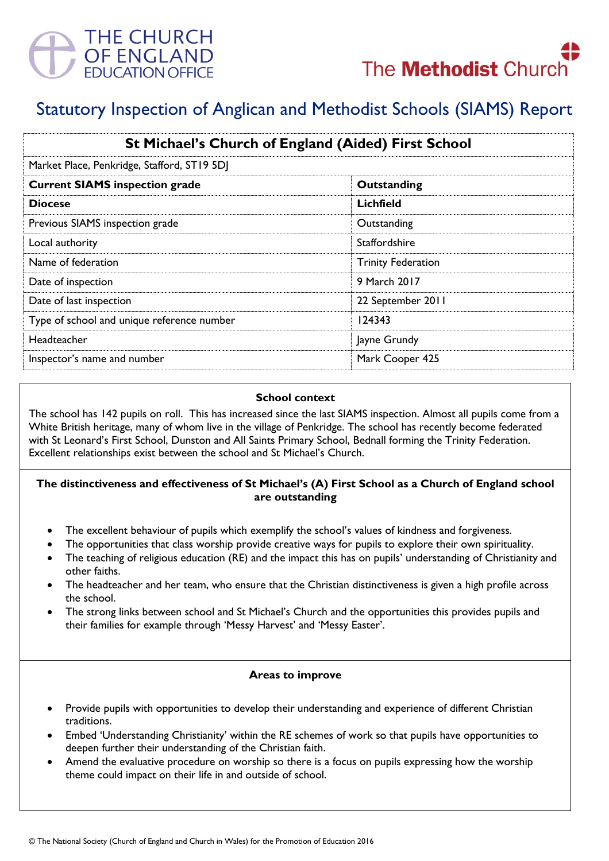



# Statutory Inspection of Anglican and Methodist Schools (SIAMS) Report

| St Michael's Church of England (Aided) First School<br>Market Place, Penkridge, Stafford, ST19 5DJ |                           |
|----------------------------------------------------------------------------------------------------|---------------------------|
|                                                                                                    |                           |
| <b>Diocese</b>                                                                                     | Lichfield                 |
| Previous SIAMS inspection grade                                                                    | Outstanding               |
| Local authority                                                                                    | <b>Staffordshire</b>      |
| Name of federation                                                                                 | <b>Trinity Federation</b> |
| Date of inspection                                                                                 | 9 March 2017              |
| Date of last inspection                                                                            | 22 September 2011         |
| Type of school and unique reference number                                                         | 124343                    |
| Headteacher                                                                                        | Jayne Grundy              |
| Inspector's name and number                                                                        | Mark Cooper 425           |

#### **School context**

The school has 142 pupils on roll. This has increased since the last SIAMS inspection. Almost all pupils come from a White British heritage, many of whom live in the village of Penkridge. The school has recently become federated with St Leonard's First School, Dunston and All Saints Primary School, Bednall forming the Trinity Federation. Excellent relationships exist between the school and St Michael's Church.

## **The distinctiveness and effectiveness of St Michael's (A) First School as a Church of England school are outstanding**

- The excellent behaviour of pupils which exemplify the school's values of kindness and forgiveness.
- The opportunities that class worship provide creative ways for pupils to explore their own spirituality.
- The teaching of religious education (RE) and the impact this has on pupils' understanding of Christianity and other faiths.
- The headteacher and her team, who ensure that the Christian distinctiveness is given a high profile across the school.
- The strong links between school and St Michael's Church and the opportunities this provides pupils and their families for example through 'Messy Harvest' and 'Messy Easter'.

## **Areas to improve**

- Provide pupils with opportunities to develop their understanding and experience of different Christian traditions.
- Embed 'Understanding Christianity' within the RE schemes of work so that pupils have opportunities to deepen further their understanding of the Christian faith.
- Amend the evaluative procedure on worship so there is a focus on pupils expressing how the worship theme could impact on their life in and outside of school.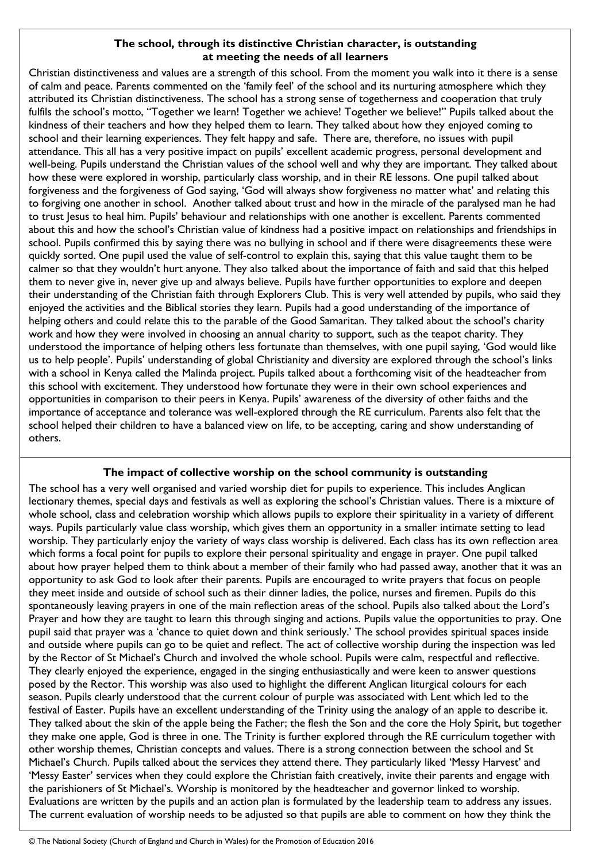## **The school, through its distinctive Christian character, is outstanding at meeting the needs of all learners**

Christian distinctiveness and values are a strength of this school. From the moment you walk into it there is a sense of calm and peace. Parents commented on the 'family feel' of the school and its nurturing atmosphere which they attributed its Christian distinctiveness. The school has a strong sense of togetherness and cooperation that truly fulfils the school's motto, "Together we learn! Together we achieve! Together we believe!" Pupils talked about the kindness of their teachers and how they helped them to learn. They talked about how they enjoyed coming to school and their learning experiences. They felt happy and safe. There are, therefore, no issues with pupil attendance. This all has a very positive impact on pupils' excellent academic progress, personal development and well-being. Pupils understand the Christian values of the school well and why they are important. They talked about how these were explored in worship, particularly class worship, and in their RE lessons. One pupil talked about forgiveness and the forgiveness of God saying, 'God will always show forgiveness no matter what' and relating this to forgiving one another in school. Another talked about trust and how in the miracle of the paralysed man he had to trust Jesus to heal him. Pupils' behaviour and relationships with one another is excellent. Parents commented about this and how the school's Christian value of kindness had a positive impact on relationships and friendships in school. Pupils confirmed this by saying there was no bullying in school and if there were disagreements these were quickly sorted. One pupil used the value of self-control to explain this, saying that this value taught them to be calmer so that they wouldn't hurt anyone. They also talked about the importance of faith and said that this helped them to never give in, never give up and always believe. Pupils have further opportunities to explore and deepen their understanding of the Christian faith through Explorers Club. This is very well attended by pupils, who said they enjoyed the activities and the Biblical stories they learn. Pupils had a good understanding of the importance of helping others and could relate this to the parable of the Good Samaritan. They talked about the school's charity work and how they were involved in choosing an annual charity to support, such as the teapot charity. They understood the importance of helping others less fortunate than themselves, with one pupil saying, 'God would like us to help people'. Pupils' understanding of global Christianity and diversity are explored through the school's links with a school in Kenya called the Malinda project. Pupils talked about a forthcoming visit of the headteacher from this school with excitement. They understood how fortunate they were in their own school experiences and opportunities in comparison to their peers in Kenya. Pupils' awareness of the diversity of other faiths and the importance of acceptance and tolerance was well-explored through the RE curriculum. Parents also felt that the school helped their children to have a balanced view on life, to be accepting, caring and show understanding of others.

## **The impact of collective worship on the school community is outstanding**

The school has a very well organised and varied worship diet for pupils to experience. This includes Anglican lectionary themes, special days and festivals as well as exploring the school's Christian values. There is a mixture of whole school, class and celebration worship which allows pupils to explore their spirituality in a variety of different ways. Pupils particularly value class worship, which gives them an opportunity in a smaller intimate setting to lead worship. They particularly enjoy the variety of ways class worship is delivered. Each class has its own reflection area which forms a focal point for pupils to explore their personal spirituality and engage in prayer. One pupil talked about how prayer helped them to think about a member of their family who had passed away, another that it was an opportunity to ask God to look after their parents. Pupils are encouraged to write prayers that focus on people they meet inside and outside of school such as their dinner ladies, the police, nurses and firemen. Pupils do this spontaneously leaving prayers in one of the main reflection areas of the school. Pupils also talked about the Lord's Prayer and how they are taught to learn this through singing and actions. Pupils value the opportunities to pray. One pupil said that prayer was a 'chance to quiet down and think seriously.' The school provides spiritual spaces inside and outside where pupils can go to be quiet and reflect. The act of collective worship during the inspection was led by the Rector of St Michael's Church and involved the whole school. Pupils were calm, respectful and reflective. They clearly enjoyed the experience, engaged in the singing enthusiastically and were keen to answer questions posed by the Rector. This worship was also used to highlight the different Anglican liturgical colours for each season. Pupils clearly understood that the current colour of purple was associated with Lent which led to the festival of Easter. Pupils have an excellent understanding of the Trinity using the analogy of an apple to describe it. They talked about the skin of the apple being the Father; the flesh the Son and the core the Holy Spirit, but together they make one apple, God is three in one. The Trinity is further explored through the RE curriculum together with other worship themes, Christian concepts and values. There is a strong connection between the school and St Michael's Church. Pupils talked about the services they attend there. They particularly liked 'Messy Harvest' and 'Messy Easter' services when they could explore the Christian faith creatively, invite their parents and engage with the parishioners of St Michael's. Worship is monitored by the headteacher and governor linked to worship. Evaluations are written by the pupils and an action plan is formulated by the leadership team to address any issues. The current evaluation of worship needs to be adjusted so that pupils are able to comment on how they think the